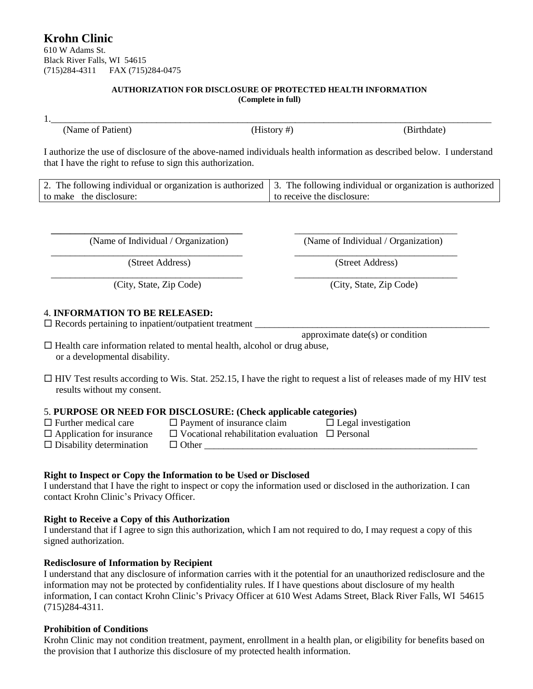# **Krohn Clinic**

610 W Adams St. Black River Falls, WI 54615 (715)284-4311 FAX (715)284-0475

#### **AUTHORIZATION FOR DISCLOSURE OF PROTECTED HEALTH INFORMATION (Complete in full)**

1.\_\_\_\_\_\_\_\_\_\_\_\_\_\_\_\_\_\_\_\_\_\_\_\_\_\_\_\_\_\_\_\_\_\_\_\_\_\_\_\_\_\_\_\_\_\_\_\_\_\_\_\_\_\_\_\_\_\_\_\_\_\_\_\_\_\_\_\_\_\_\_\_\_\_\_\_\_\_\_\_\_\_\_\_\_\_\_\_\_\_\_\_

(Name of Patient) (History #) (Birthdate) (Birthdate)

I authorize the use of disclosure of the above-named individuals health information as described below. I understand that I have the right to refuse to sign this authorization.

|                         | 2. The following individual or organization is authorized $\vert$ 3. The following individual or organization is authorized |
|-------------------------|-----------------------------------------------------------------------------------------------------------------------------|
| to make the disclosure: | to receive the disclosure:                                                                                                  |

 **\_\_\_\_\_\_\_\_\_\_\_\_\_\_\_\_\_\_\_\_\_\_\_\_\_\_\_\_\_\_\_\_\_\_\_\_\_\_\_\_** \_\_\_\_\_\_\_\_\_\_\_\_\_\_\_\_\_\_\_\_\_\_\_\_\_\_\_\_\_\_\_\_\_\_ (Name of Individual / Organization) (Name of Individual / Organization)

(City, State, Zip Code) (City, State, Zip Code)

# 4. **INFORMATION TO BE RELEASED:**

 $\square$  Records pertaining to inpatient/outpatient treatment

approximate date(s) or condition

 $\Box$  Health care information related to mental health, alcohol or drug abuse, or a developmental disability.

 $\Box$  HIV Test results according to Wis. Stat. 252.15, I have the right to request a list of releases made of my HIV test results without my consent.

### 5. **PURPOSE OR NEED FOR DISCLOSURE: (Check applicable categories)**

- 
- 
- $\square$  Disability determination  $\square$  Other
- $\Box$  Further medical care  $\Box$  Payment of insurance claim  $\Box$  Legal investigation
	-
- $\Box$  Application for insurance  $\Box$  Vocational rehabilitation evaluation  $\Box$  Personal
	-
- -

# **Right to Inspect or Copy the Information to be Used or Disclosed**

I understand that I have the right to inspect or copy the information used or disclosed in the authorization. I can contact Krohn Clinic's Privacy Officer.

# **Right to Receive a Copy of this Authorization**

I understand that if I agree to sign this authorization, which I am not required to do, I may request a copy of this signed authorization.

# **Redisclosure of Information by Recipient**

I understand that any disclosure of information carries with it the potential for an unauthorized redisclosure and the information may not be protected by confidentiality rules. If I have questions about disclosure of my health information, I can contact Krohn Clinic's Privacy Officer at 610 West Adams Street, Black River Falls, WI 54615 (715)284-4311.

### **Prohibition of Conditions**

Krohn Clinic may not condition treatment, payment, enrollment in a health plan, or eligibility for benefits based on the provision that I authorize this disclosure of my protected health information.

 $\overline{\phantom{a}}$  , and the contribution of the contribution of the contribution of the contribution of the contribution of the contribution of the contribution of the contribution of the contribution of the contribution of the

(Street Address) (Street Address)

 $\overline{\phantom{a}}$  , and the contribution of the contribution of the contribution of the contribution of the contribution of the contribution of the contribution of the contribution of the contribution of the contribution of the